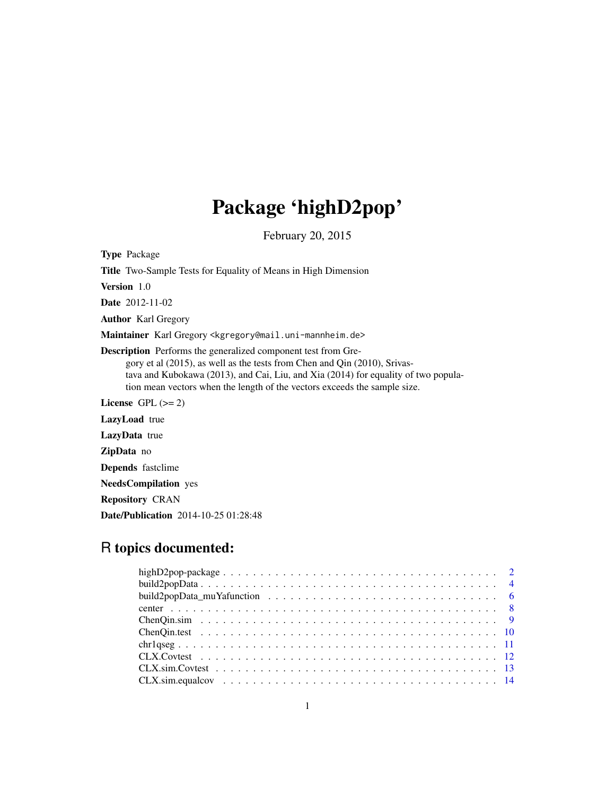# Package 'highD2pop'

February 20, 2015

Type Package Title Two-Sample Tests for Equality of Means in High Dimension Version 1.0 Date 2012-11-02 Author Karl Gregory Maintainer Karl Gregory <kgregory@mail.uni-mannheim.de> Description Performs the generalized component test from Gregory et al (2015), as well as the tests from Chen and Qin (2010), Srivastava and Kubokawa (2013), and Cai, Liu, and Xia (2014) for equality of two population mean vectors when the length of the vectors exceeds the sample size. License GPL  $(>= 2)$ LazyLoad true LazyData true ZipData no Depends fastclime NeedsCompilation yes Repository CRAN

Date/Publication 2014-10-25 01:28:48

# R topics documented: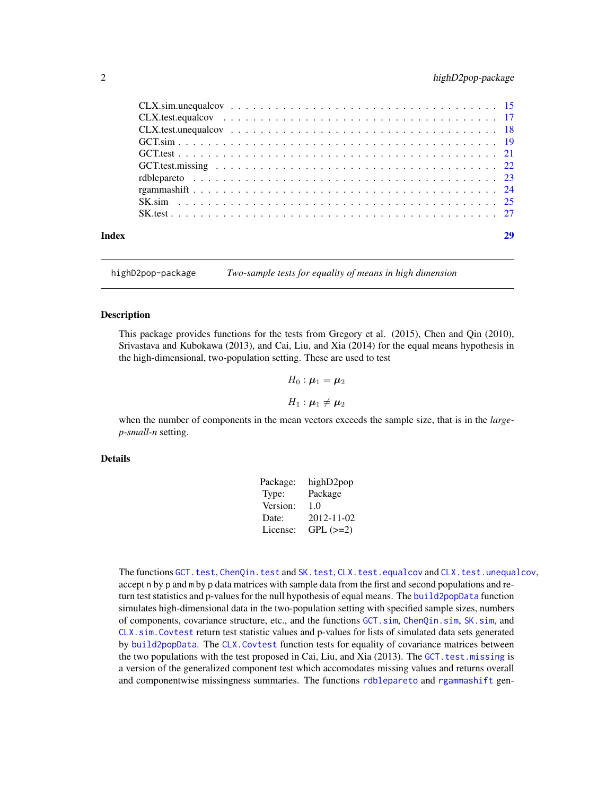<span id="page-1-0"></span>

highD2pop-package *Two-sample tests for equality of means in high dimension*

# **Description**

This package provides functions for the tests from Gregory et al. (2015), Chen and Qin (2010), Srivastava and Kubokawa (2013), and Cai, Liu, and Xia (2014) for the equal means hypothesis in the high-dimensional, two-population setting. These are used to test

$$
H_0: \boldsymbol{\mu}_1 = \boldsymbol{\mu}_2
$$

$$
H_1: \bm{\mu}_1 \neq \bm{\mu}_2
$$

when the number of components in the mean vectors exceeds the sample size, that is in the *largep-small-n* setting.

#### Details

| Package: | highD2pop     |
|----------|---------------|
| Type:    | Package       |
| Version: | 1.0           |
| Date:    | 2012-11-02    |
| License: | $GPL$ $(>=2)$ |

The functions [GCT.test](#page-20-1), [ChenQin.test](#page-9-1) and [SK.test](#page-26-1), [CLX.test.equalcov](#page-16-1) and [CLX.test.unequalcov](#page-17-1), accept n by p and m by p data matrices with sample data from the first and second populations and return test statistics and p-values for the null hypothesis of equal means. The [build2popData](#page-3-1) function simulates high-dimensional data in the two-population setting with specified sample sizes, numbers of components, covariance structure, etc., and the functions [GCT.sim](#page-18-1), [ChenQin.sim](#page-8-1), [SK.sim](#page-24-1), and [CLX.sim.Covtest](#page-12-1) return test statistic values and p-values for lists of simulated data sets generated by [build2popData](#page-3-1). The [CLX.Covtest](#page-11-1) function tests for equality of covariance matrices between the two populations with the test proposed in Cai, Liu, and Xia (2013). The GCT. test. missing is a version of the generalized component test which accomodates missing values and returns overall and componentwise missingness summaries. The functions [rdblepareto](#page-22-1) and [rgammashift](#page-23-1) gen-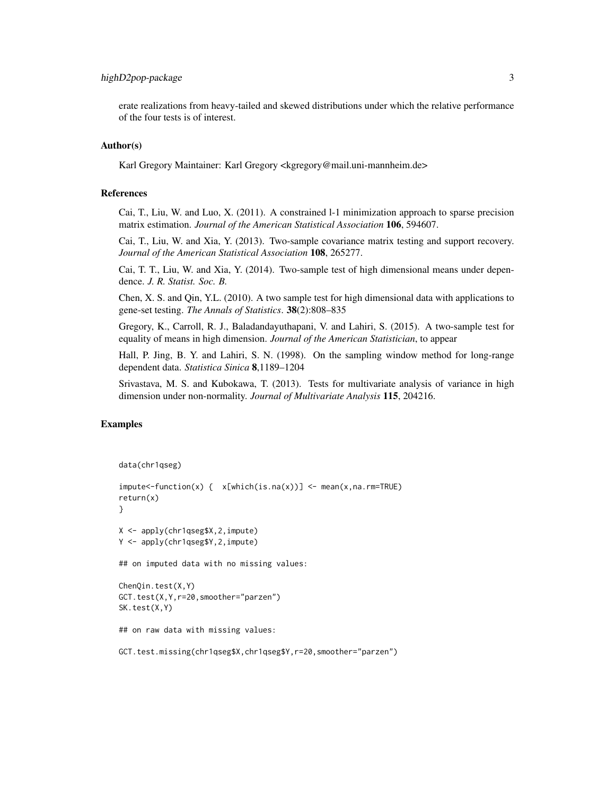# highD2pop-package 3

erate realizations from heavy-tailed and skewed distributions under which the relative performance of the four tests is of interest.

#### Author(s)

Karl Gregory Maintainer: Karl Gregory <kgregory@mail.uni-mannheim.de>

#### References

Cai, T., Liu, W. and Luo, X. (2011). A constrained l-1 minimization approach to sparse precision matrix estimation. *Journal of the American Statistical Association* 106, 594607.

Cai, T., Liu, W. and Xia, Y. (2013). Two-sample covariance matrix testing and support recovery. *Journal of the American Statistical Association* 108, 265277.

Cai, T. T., Liu, W. and Xia, Y. (2014). Two-sample test of high dimensional means under dependence. *J. R. Statist. Soc. B.*

Chen, X. S. and Qin, Y.L. (2010). A two sample test for high dimensional data with applications to gene-set testing. *The Annals of Statistics*. 38(2):808–835

Gregory, K., Carroll, R. J., Baladandayuthapani, V. and Lahiri, S. (2015). A two-sample test for equality of means in high dimension. *Journal of the American Statistician*, to appear

Hall, P. Jing, B. Y. and Lahiri, S. N. (1998). On the sampling window method for long-range dependent data. *Statistica Sinica* 8,1189–1204

Srivastava, M. S. and Kubokawa, T. (2013). Tests for multivariate analysis of variance in high dimension under non-normality. *Journal of Multivariate Analysis* 115, 204216.

```
data(chr1qseg)
```

```
impute<-function(x) { x[which(is.na(x))] <- mean(x,na.rm=TRUE)
return(x)
}
X <- apply(chr1qseg$X,2,impute)
Y <- apply(chr1qseg$Y,2,impute)
## on imputed data with no missing values:
ChenQin.test(X,Y)
GCT.test(X,Y,r=20,smoother="parzen")
SK.test(X,Y)
## on raw data with missing values:
GCT.test.missing(chr1qseg$X,chr1qseg$Y,r=20,smoother="parzen")
```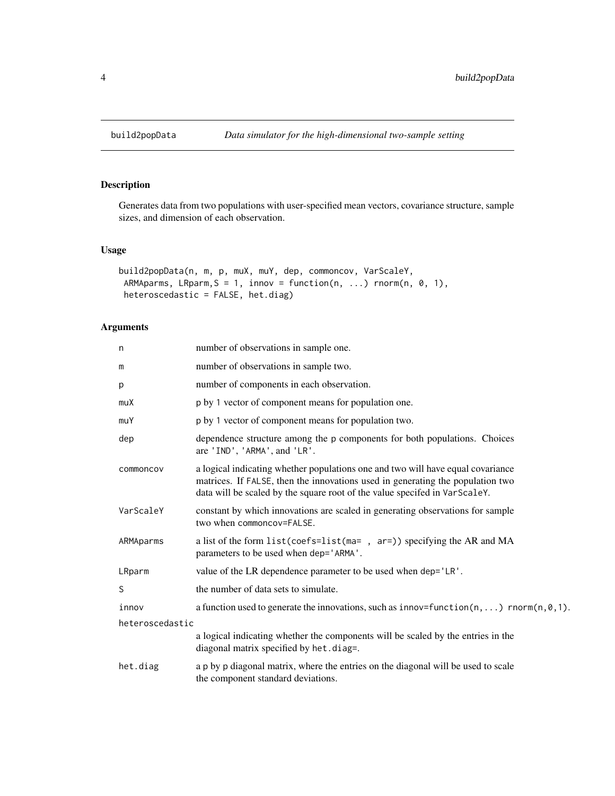# Description

Generates data from two populations with user-specified mean vectors, covariance structure, sample sizes, and dimension of each observation.

# Usage

```
build2popData(n, m, p, muX, muY, dep, commoncov, VarScaleY,
ARMAparms, LRparm, S = 1, innov = function(n, ...) rnorm(n, 0, 1),
heteroscedastic = FALSE, het.diag)
```
# Arguments

| n               | number of observations in sample one.                                                                                                                                                                                                           |
|-----------------|-------------------------------------------------------------------------------------------------------------------------------------------------------------------------------------------------------------------------------------------------|
| m               | number of observations in sample two.                                                                                                                                                                                                           |
| p               | number of components in each observation.                                                                                                                                                                                                       |
| muX             | p by 1 vector of component means for population one.                                                                                                                                                                                            |
| muY             | p by 1 vector of component means for population two.                                                                                                                                                                                            |
| dep             | dependence structure among the p components for both populations. Choices<br>are 'IND', 'ARMA', and 'LR'.                                                                                                                                       |
| commoncov       | a logical indicating whether populations one and two will have equal covariance<br>matrices. If FALSE, then the innovations used in generating the population two<br>data will be scaled by the square root of the value specifed in VarScaleY. |
| VarScaleY       | constant by which innovations are scaled in generating observations for sample<br>two when commoncov=FALSE.                                                                                                                                     |
| ARMAparms       | a list of the form list (coefs=list (ma=, ar=)) specifying the AR and MA<br>parameters to be used when dep='ARMA'.                                                                                                                              |
| LRparm          | value of the LR dependence parameter to be used when dep='LR'.                                                                                                                                                                                  |
| S               | the number of data sets to simulate.                                                                                                                                                                                                            |
| innov           | a function used to generate the innovations, such as innov=function( $n, \ldots$ ) rnorm( $n, \emptyset, 1$ ).                                                                                                                                  |
| heteroscedastic |                                                                                                                                                                                                                                                 |
|                 | a logical indicating whether the components will be scaled by the entries in the<br>diagonal matrix specified by het.diag=.                                                                                                                     |
| het.diag        | a p by p diagonal matrix, where the entries on the diagonal will be used to scale<br>the component standard deviations.                                                                                                                         |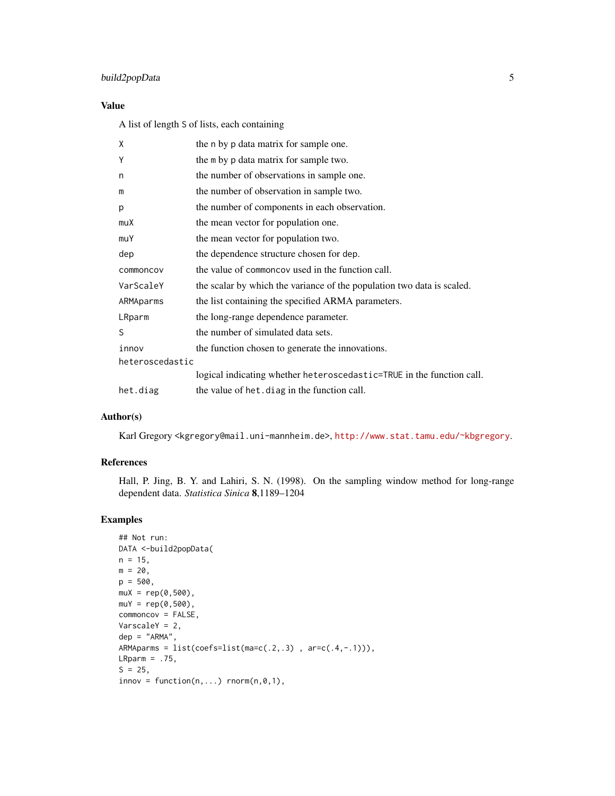# build2popData 5

# Value

A list of length S of lists, each containing

| X               | the n by p data matrix for sample one.                                 |
|-----------------|------------------------------------------------------------------------|
| Υ               | the m by p data matrix for sample two.                                 |
| n               | the number of observations in sample one.                              |
| m               | the number of observation in sample two.                               |
| p               | the number of components in each observation.                          |
| muX             | the mean vector for population one.                                    |
| muY             | the mean vector for population two.                                    |
| dep             | the dependence structure chosen for dep.                               |
| commoncov       | the value of commoncov used in the function call.                      |
| VarScaleY       | the scalar by which the variance of the population two data is scaled. |
| ARMAparms       | the list containing the specified ARMA parameters.                     |
| LRparm          | the long-range dependence parameter.                                   |
| S               | the number of simulated data sets.                                     |
| innov           | the function chosen to generate the innovations.                       |
| heteroscedastic |                                                                        |
|                 | logical indicating whether heteroscedastic=TRUE in the function call.  |
| het.diag        | the value of het. diag in the function call.                           |

# Author(s)

Karl Gregory <kgregory@mail.uni-mannheim.de>, <http://www.stat.tamu.edu/~kbgregory>.

# References

Hall, P. Jing, B. Y. and Lahiri, S. N. (1998). On the sampling window method for long-range dependent data. *Statistica Sinica* 8,1189–1204

```
## Not run:
DATA <-build2popData(
n = 15,
m = 20,
p = 500,
muX = rep(0,500),
muY = rep(0,500),
commoncov = FALSE,
VarscaleY = 2,
dep = "ARMA",
ARMAparms = list(coeffs=list(max-c(.2,.3)), arc(.4,-.1)),
LRparm = .75,
S = 25,innov = function(n, ...) rnorm(n, 0, 1),
```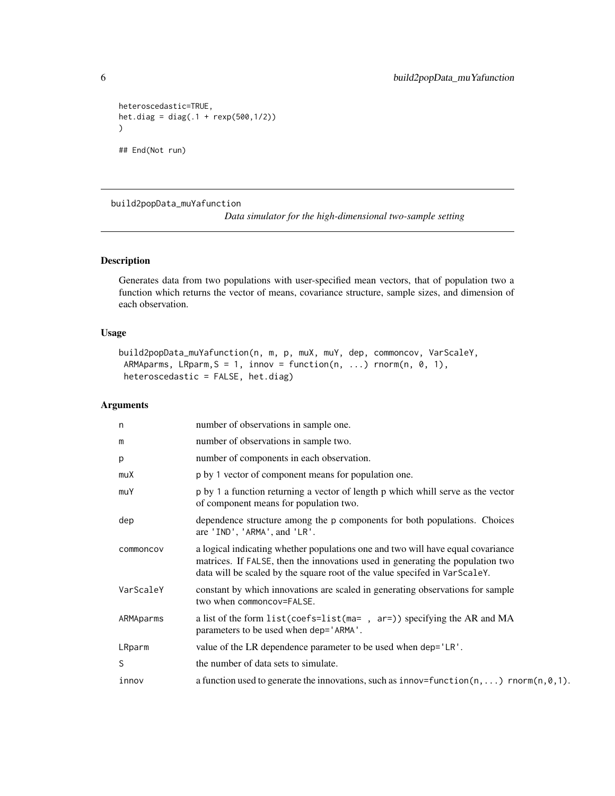```
heteroscedastic=TRUE,
het.diag = diag(.1 + resp(500, 1/2)))
## End(Not run)
```
build2popData\_muYafunction

*Data simulator for the high-dimensional two-sample setting*

# Description

Generates data from two populations with user-specified mean vectors, that of population two a function which returns the vector of means, covariance structure, sample sizes, and dimension of each observation.

# Usage

```
build2popData_muYafunction(n, m, p, muX, muY, dep, commoncov, VarScaleY,
ARMAparms, LRparm, S = 1, innov = function(n, ...) rnorm(n, 0, 1),
heteroscedastic = FALSE, het.diag)
```
# Arguments

| n         | number of observations in sample one.                                                                                                                                                                                                           |
|-----------|-------------------------------------------------------------------------------------------------------------------------------------------------------------------------------------------------------------------------------------------------|
| m         | number of observations in sample two.                                                                                                                                                                                                           |
| p         | number of components in each observation.                                                                                                                                                                                                       |
| muX       | p by 1 vector of component means for population one.                                                                                                                                                                                            |
| muY       | p by 1 a function returning a vector of length p which whill serve as the vector<br>of component means for population two.                                                                                                                      |
| dep       | dependence structure among the p components for both populations. Choices<br>are 'IND', 'ARMA', and 'LR'.                                                                                                                                       |
| commoncov | a logical indicating whether populations one and two will have equal covariance<br>matrices. If FALSE, then the innovations used in generating the population two<br>data will be scaled by the square root of the value specifed in VarScaleY. |
| VarScaleY | constant by which innovations are scaled in generating observations for sample<br>two when commoncov=FALSE.                                                                                                                                     |
| ARMAparms | a list of the form list(coefs=list(ma=, ar=)) specifying the AR and MA<br>parameters to be used when dep='ARMA'.                                                                                                                                |
| LRparm    | value of the LR dependence parameter to be used when dep='LR'.                                                                                                                                                                                  |
| S         | the number of data sets to simulate.                                                                                                                                                                                                            |
| innov     | a function used to generate the innovations, such as innov=function( $n, \ldots$ ) rnorm( $n, \emptyset, 1$ ).                                                                                                                                  |

<span id="page-5-0"></span>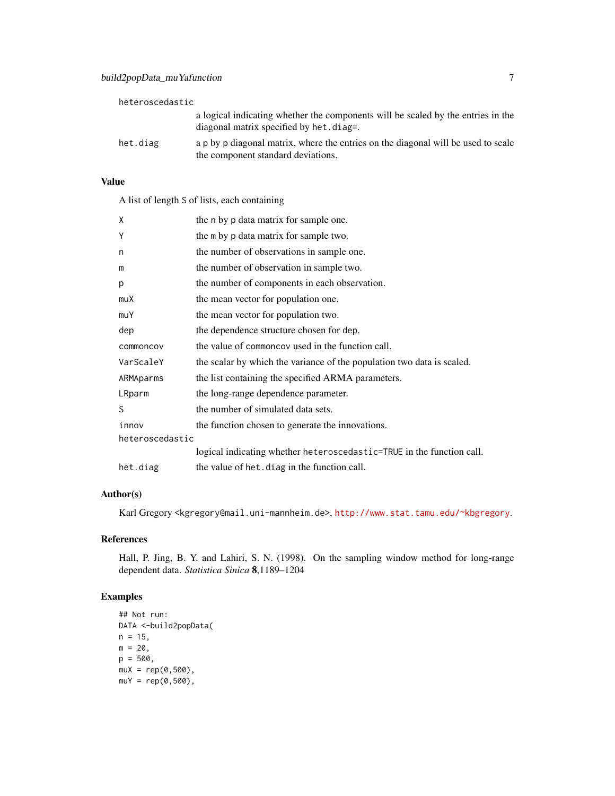| heteroscedastic |                                                                                                                             |
|-----------------|-----------------------------------------------------------------------------------------------------------------------------|
|                 | a logical indicating whether the components will be scaled by the entries in the<br>diagonal matrix specified by het.diag=. |
| het.diag        | a p by p diagonal matrix, where the entries on the diagonal will be used to scale<br>the component standard deviations.     |

# Value

A list of length S of lists, each containing

| X               | the n by p data matrix for sample one.                                 |
|-----------------|------------------------------------------------------------------------|
| Υ               | the m by p data matrix for sample two.                                 |
| n               | the number of observations in sample one.                              |
| m               | the number of observation in sample two.                               |
| p               | the number of components in each observation.                          |
| muX             | the mean vector for population one.                                    |
| muY             | the mean vector for population two.                                    |
| dep             | the dependence structure chosen for dep.                               |
| commoncov       | the value of commoncov used in the function call.                      |
| VarScaleY       | the scalar by which the variance of the population two data is scaled. |
| ARMAparms       | the list containing the specified ARMA parameters.                     |
| LRparm          | the long-range dependence parameter.                                   |
| S               | the number of simulated data sets.                                     |
| innov           | the function chosen to generate the innovations.                       |
| heteroscedastic |                                                                        |
|                 | logical indicating whether heteroscedastic=TRUE in the function call.  |
| het.diag        | the value of het. diag in the function call.                           |

# Author(s)

Karl Gregory <kgregory@mail.uni-mannheim.de>, <http://www.stat.tamu.edu/~kbgregory>.

# References

Hall, P. Jing, B. Y. and Lahiri, S. N. (1998). On the sampling window method for long-range dependent data. *Statistica Sinica* 8,1189–1204

```
## Not run:
DATA <-build2popData(
n = 15,
m = 20,
p = 500,muX = rep(0,500),
muY = rep(0,500),
```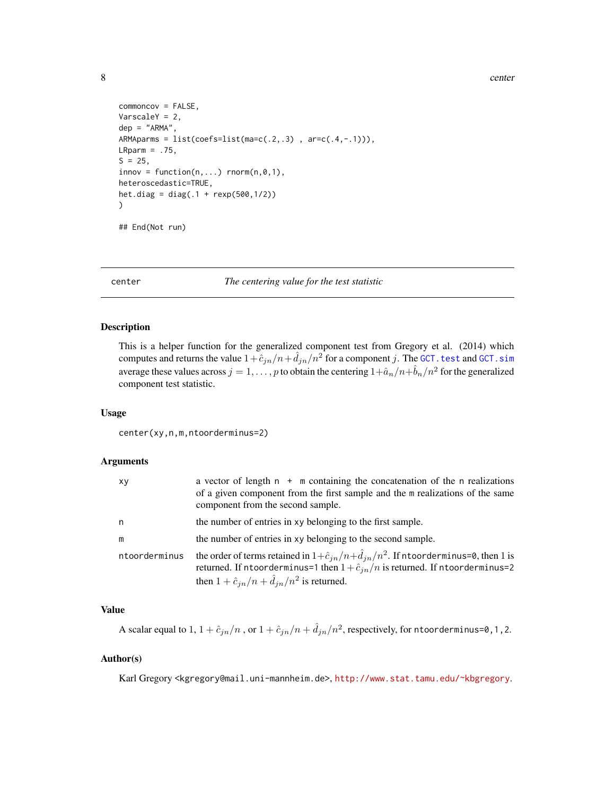8 center and the second state of the second state of the second state of the second state of the second state of the second state of the second state of the second state of the second state of the second state of the secon

```
commoncov = FALSE,
VarscaleY = 2,
dep = "ARMA",
ARMAparms = list(coeffs=list(mac(.2,.3)), arc(.4,-.1)),
LRparm = .75,S = 25,innov = function(n,...) rnorm(n,0,1),
heteroscedastic=TRUE,
het.diag = diag(.1 + resp(500, 1/2))
)
```
## End(Not run)

center *The centering value for the test statistic*

# Description

This is a helper function for the generalized component test from Gregory et al. (2014) which computes and returns the value  $1 + \hat{c}_{jn} / n + \hat{d}_{jn} / n^2$  for a component j. The GCT. test and GCT. sim average these values across  $j = 1, \ldots, p$  to obtain the centering  $1 + \hat{a}_n/n + \hat{b}_n/n^2$  for the generalized component test statistic.

#### Usage

center(xy,n,m,ntoorderminus=2)

#### Arguments

| xy            | a vector of length $n + m$ containing the concatenation of the n realizations<br>of a given component from the first sample and the m realizations of the same<br>component from the second sample.                                                      |
|---------------|----------------------------------------------------------------------------------------------------------------------------------------------------------------------------------------------------------------------------------------------------------|
| n             | the number of entries in xy belonging to the first sample.                                                                                                                                                                                               |
| m             | the number of entries in xy belonging to the second sample.                                                                                                                                                                                              |
| ntoorderminus | the order of terms retained in $1+\hat{c}_{in}/n+\hat{d}_{in}/n^2$ . If n toorderminus=0, then 1 is<br>returned. If ntoorderminus=1 then $1+\hat{c}_{in}/n$ is returned. If ntoorderminus=2<br>then $1 + \hat{c}_{in}/n + \hat{d}_{in}/n^2$ is returned. |

#### Value

A scalar equal to  $1, 1 + \hat{c}_{jn}/n$  , or  $1 + \hat{c}_{jn}/n + \hat{d}_{jn}/n^2$ , respectively, for ntoorderminus=0, 1, 2.

# Author(s)

Karl Gregory <kgregory@mail.uni-mannheim.de>, <http://www.stat.tamu.edu/~kbgregory>.

<span id="page-7-0"></span>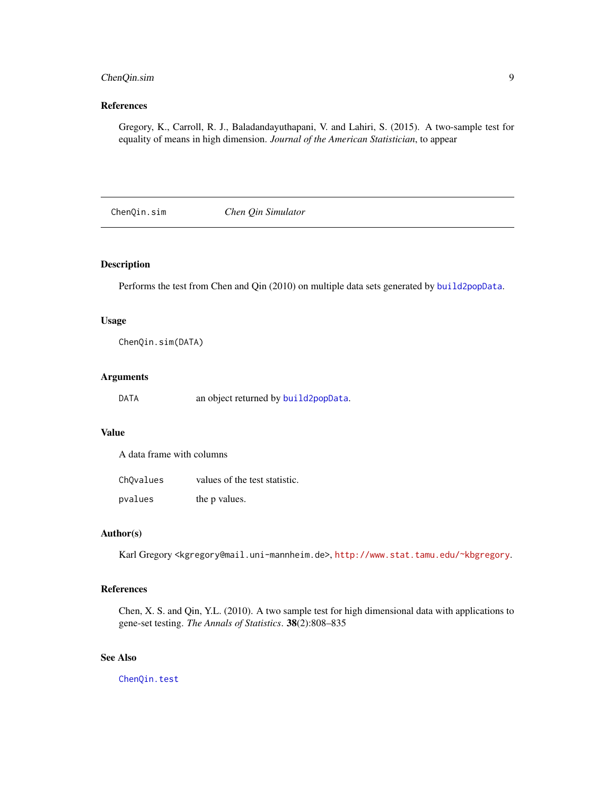# <span id="page-8-0"></span>ChenQin.sim 9

# References

Gregory, K., Carroll, R. J., Baladandayuthapani, V. and Lahiri, S. (2015). A two-sample test for equality of means in high dimension. *Journal of the American Statistician*, to appear

<span id="page-8-1"></span>ChenQin.sim *Chen Qin Simulator*

# **Description**

Performs the test from Chen and Qin (2010) on multiple data sets generated by [build2popData](#page-3-1).

#### Usage

ChenQin.sim(DATA)

# Arguments

| DATA | an object returned by build2popData. |  |  |
|------|--------------------------------------|--|--|
|------|--------------------------------------|--|--|

#### Value

A data frame with columns

| ChOvalues | values of the test statistic. |
|-----------|-------------------------------|
| pvalues   | the p values.                 |

#### Author(s)

Karl Gregory <kgregory@mail.uni-mannheim.de>, <http://www.stat.tamu.edu/~kbgregory>.

### References

Chen, X. S. and Qin, Y.L. (2010). A two sample test for high dimensional data with applications to gene-set testing. *The Annals of Statistics*. 38(2):808–835

# See Also

[ChenQin.test](#page-9-1)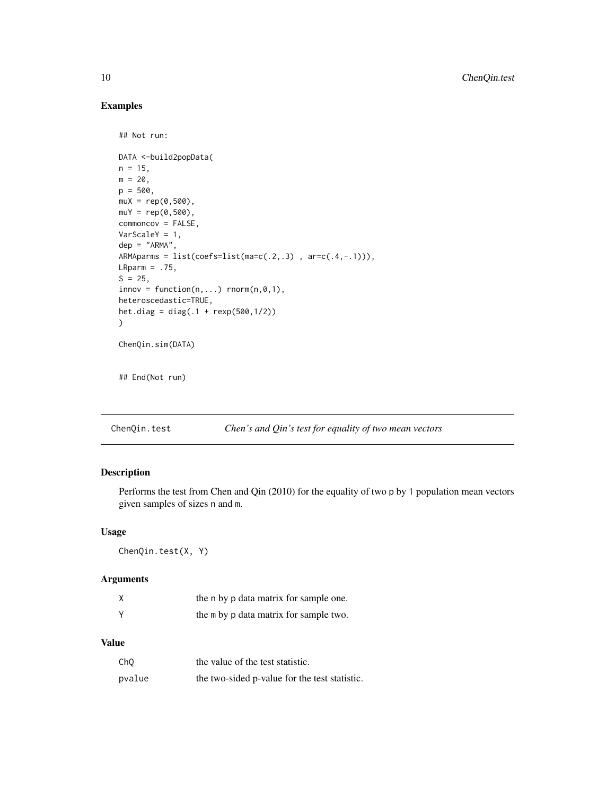# Examples

```
## Not run:
DATA <-build2popData(
n = 15,
m = 20,
p = 500,
muX = rep(0,500),
muY = rep(0,500),
commoncov = FALSE,
VarScaleY = 1,
dep = "ARMA",ARMAparms = list(coeffs=list(ma=c(.2,.3)), arc(.4,-.1)),
LRparm = .75,S = 25,
innov = function(n,...) rnorm(n,0,1),
heteroscedastic=TRUE,
het.diag = diag(.1 + rexp(500,1/2))
)
ChenQin.sim(DATA)
```
## End(Not run)

<span id="page-9-1"></span>ChenQin.test *Chen's and Qin's test for equality of two mean vectors*

# Description

Performs the test from Chen and Qin (2010) for the equality of two p by 1 population mean vectors given samples of sizes n and m.

# Usage

ChenQin.test(X, Y)

#### Arguments

|   | the n by p data matrix for sample one. |
|---|----------------------------------------|
| v | the m by p data matrix for sample two. |

# Value

| ChO    | the value of the test statistic.              |
|--------|-----------------------------------------------|
| pvalue | the two-sided p-value for the test statistic. |

<span id="page-9-0"></span>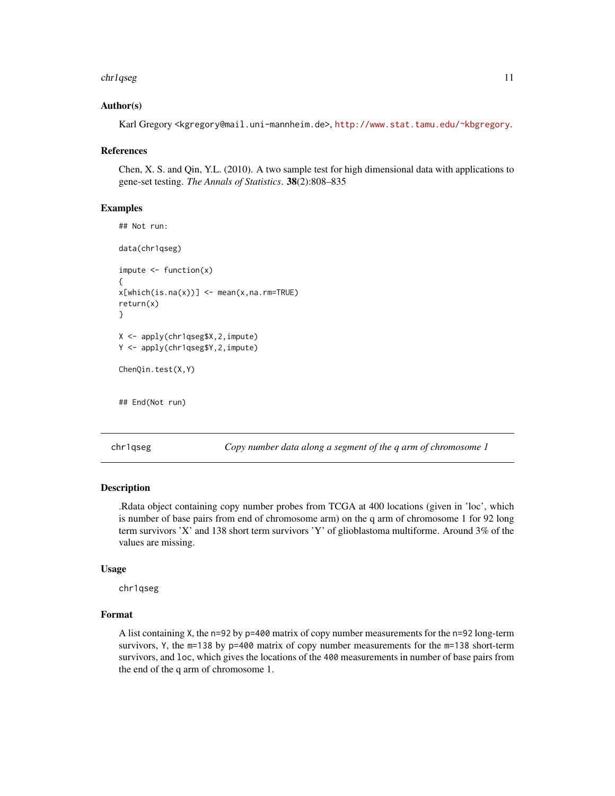#### <span id="page-10-0"></span>chr1qseg 11

#### Author(s)

Karl Gregory <kgregory@mail.uni-mannheim.de>, <http://www.stat.tamu.edu/~kbgregory>.

#### References

Chen, X. S. and Qin, Y.L. (2010). A two sample test for high dimensional data with applications to gene-set testing. *The Annals of Statistics*. 38(2):808–835

#### Examples

```
## Not run:
data(chr1qseg)
impute < - function(x){
x[which(is.na(x))] < - mean(x,na.rm=TRUE)
return(x)
}
X <- apply(chr1qseg$X,2,impute)
Y <- apply(chr1qseg$Y,2,impute)
ChenQin.test(X,Y)
```
## End(Not run)

chr1qseg *Copy number data along a segment of the q arm of chromosome 1*

#### Description

.Rdata object containing copy number probes from TCGA at 400 locations (given in 'loc', which is number of base pairs from end of chromosome arm) on the q arm of chromosome 1 for 92 long term survivors 'X' and 138 short term survivors 'Y' of glioblastoma multiforme. Around 3% of the values are missing.

#### Usage

chr1qseg

# Format

A list containing X, the n=92 by p=400 matrix of copy number measurements for the n=92 long-term survivors, Y, the m=138 by p=400 matrix of copy number measurements for the m=138 short-term survivors, and loc, which gives the locations of the 400 measurements in number of base pairs from the end of the q arm of chromosome 1.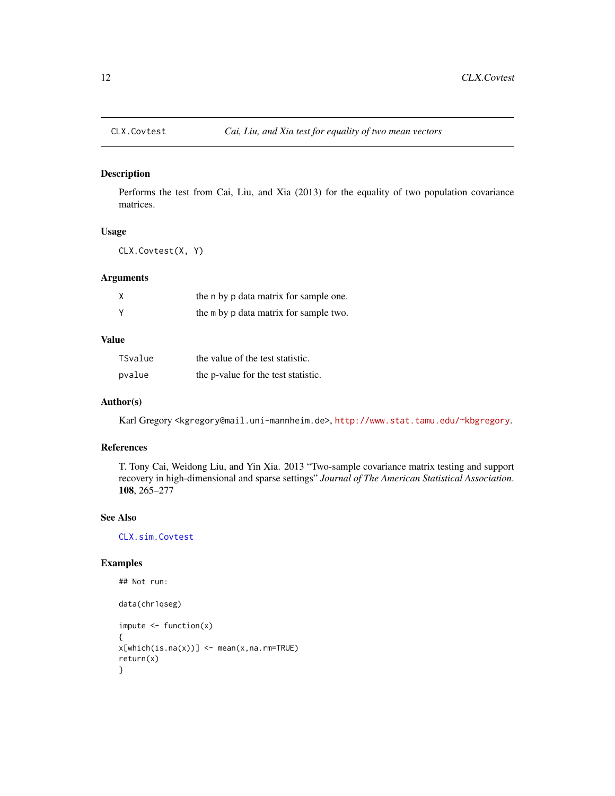<span id="page-11-1"></span><span id="page-11-0"></span>

# Description

Performs the test from Cai, Liu, and Xia (2013) for the equality of two population covariance matrices.

# Usage

CLX.Covtest(X, Y)

# Arguments

| the n by p data matrix for sample one. |
|----------------------------------------|
| the m by p data matrix for sample two. |

# Value

| TSvalue | the value of the test statistic.    |
|---------|-------------------------------------|
| pvalue  | the p-value for the test statistic. |

# Author(s)

Karl Gregory <kgregory@mail.uni-mannheim.de>, <http://www.stat.tamu.edu/~kbgregory>.

# References

T. Tony Cai, Weidong Liu, and Yin Xia. 2013 "Two-sample covariance matrix testing and support recovery in high-dimensional and sparse settings" *Journal of The American Statistical Association*. 108, 265–277

#### See Also

[CLX.sim.Covtest](#page-12-1)

```
## Not run:
data(chr1qseg)
impute < - function(x){
x[which(is.na(x))] < - mean(x,na.rm=TRUE)
return(x)
}
```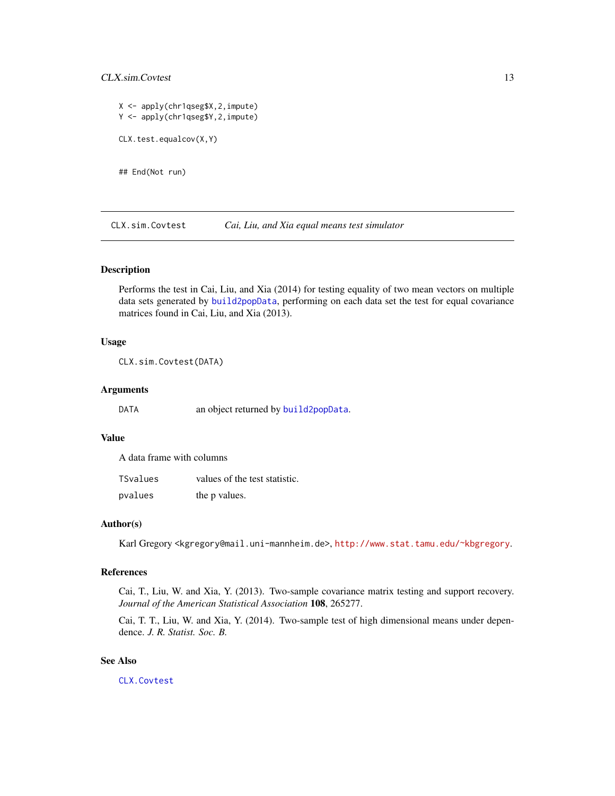# <span id="page-12-0"></span>CLX.sim.Covtest 13

```
X <- apply(chr1qseg$X,2,impute)
Y <- apply(chr1qseg$Y,2,impute)
CLX.test.equalcov(X,Y)
```
## End(Not run)

<span id="page-12-1"></span>CLX.sim.Covtest *Cai, Liu, and Xia equal means test simulator*

#### Description

Performs the test in Cai, Liu, and Xia (2014) for testing equality of two mean vectors on multiple data sets generated by [build2popData](#page-3-1), performing on each data set the test for equal covariance matrices found in Cai, Liu, and Xia (2013).

#### Usage

CLX.sim.Covtest(DATA)

#### Arguments

DATA an object returned by [build2popData](#page-3-1).

#### Value

A data frame with columns

| TSvalues | values of the test statistic. |
|----------|-------------------------------|
| pvalues  | the p values.                 |

#### Author(s)

Karl Gregory <kgregory@mail.uni-mannheim.de>, <http://www.stat.tamu.edu/~kbgregory>.

# References

Cai, T., Liu, W. and Xia, Y. (2013). Two-sample covariance matrix testing and support recovery. *Journal of the American Statistical Association* 108, 265277.

Cai, T. T., Liu, W. and Xia, Y. (2014). Two-sample test of high dimensional means under dependence. *J. R. Statist. Soc. B.*

#### See Also

[CLX.Covtest](#page-11-1)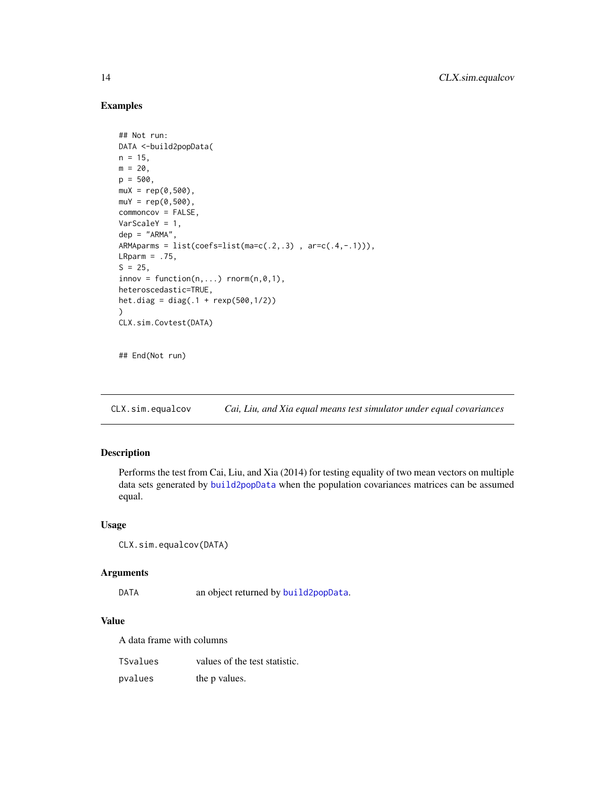# Examples

```
## Not run:
DATA <-build2popData(
n = 15,
m = 20,
p = 500,muX = rep(0,500),
muY = rep(0,500),
commoncov = FALSE,
VarScaleY = 1,
dep = "ARMA",
ARMAparms = list(coefs=list(ma=c(.2,.3) , ar=c(.4,-.1))),
LRparm = .75,S = 25,
innov = function(n, \ldots) rnorm(n, 0, 1),
heteroscedastic=TRUE,
het.diag = diag(.1 + rexp(500,1/2))
)
CLX.sim.Covtest(DATA)
```
## End(Not run)

<span id="page-13-1"></span>CLX.sim.equalcov *Cai, Liu, and Xia equal means test simulator under equal covariances*

# **Description**

Performs the test from Cai, Liu, and Xia (2014) for testing equality of two mean vectors on multiple data sets generated by [build2popData](#page-3-1) when the population covariances matrices can be assumed equal.

#### Usage

```
CLX.sim.equalcov(DATA)
```
#### Arguments

DATA an object returned by [build2popData](#page-3-1).

# Value

A data frame with columns

| TSvalues | values of the test statistic. |
|----------|-------------------------------|
| pvalues  | the p values.                 |

<span id="page-13-0"></span>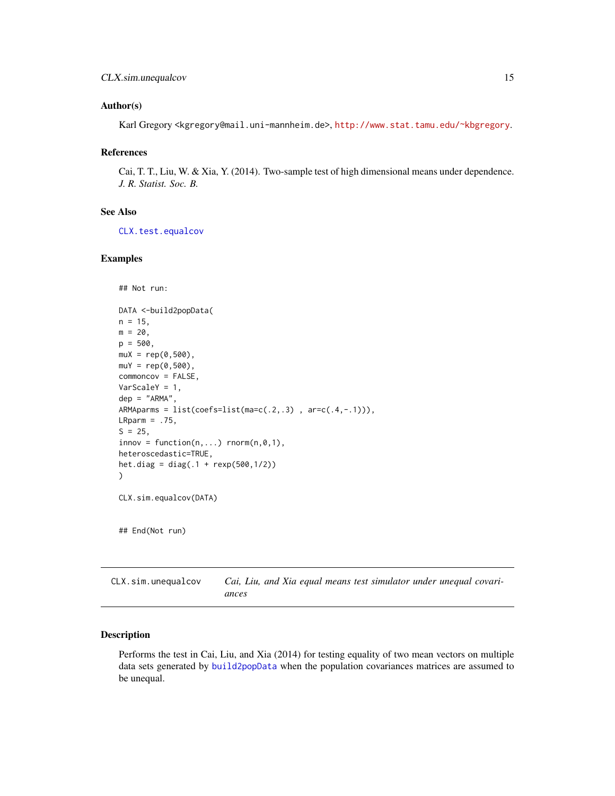#### <span id="page-14-0"></span>Author(s)

Karl Gregory <kgregory@mail.uni-mannheim.de>, <http://www.stat.tamu.edu/~kbgregory>.

#### References

Cai, T. T., Liu, W. & Xia, Y. (2014). Two-sample test of high dimensional means under dependence. *J. R. Statist. Soc. B.*

# See Also

[CLX.test.equalcov](#page-16-1)

#### Examples

```
## Not run:
DATA <-build2popData(
n = 15,
m = 20,p = 500,muX = rep(0,500),
muY = rep(0,500),
commoncov = FALSE,
VarScaleY = 1,
dep = "ARMA",
ARMAparms = list(coeffs=list(ma=c(.2,.3)), ar=c(.4,-.1))),
LRparm = .75,
S = 25,
innov = function(n,...) rnorm(n,0,1),
heteroscedastic=TRUE,
het.diag = diag(.1 + resp(500, 1/2)))
CLX.sim.equalcov(DATA)
## End(Not run)
```
CLX.sim.unequalcov *Cai, Liu, and Xia equal means test simulator under unequal covariances*

# Description

Performs the test in Cai, Liu, and Xia (2014) for testing equality of two mean vectors on multiple data sets generated by [build2popData](#page-3-1) when the population covariances matrices are assumed to be unequal.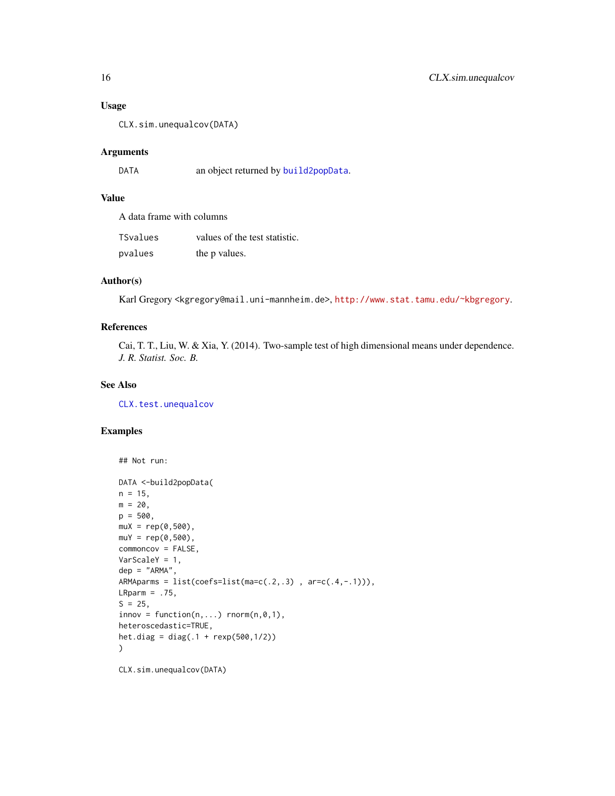# Usage

CLX.sim.unequalcov(DATA)

# Arguments

DATA an object returned by [build2popData](#page-3-1).

# Value

A data frame with columns

| TSvalues | values of the test statistic. |
|----------|-------------------------------|
| pvalues  | the p values.                 |

# Author(s)

Karl Gregory <kgregory@mail.uni-mannheim.de>, <http://www.stat.tamu.edu/~kbgregory>.

# References

Cai, T. T., Liu, W. & Xia, Y. (2014). Two-sample test of high dimensional means under dependence. *J. R. Statist. Soc. B.*

#### See Also

[CLX.test.unequalcov](#page-17-1)

# Examples

```
## Not run:
DATA <-build2popData(
n = 15,
m = 20,
p = 500,muX = rep(0,500),
muY = rep(0,500),
commoncov = FALSE,
VarScaleY = 1,
dep = "ARMA",ARMAparms = list(coefs=list(ma=c(.2,.3) , ar=c(.4,-.1))),
LRparm = .75,S = 25,
innov = function(n,...) rnorm(n,0,1),
heteroscedastic=TRUE,
het.diag = diag(.1 + rexp(500,1/2))
\mathcal{L}
```
CLX.sim.unequalcov(DATA)

<span id="page-15-0"></span>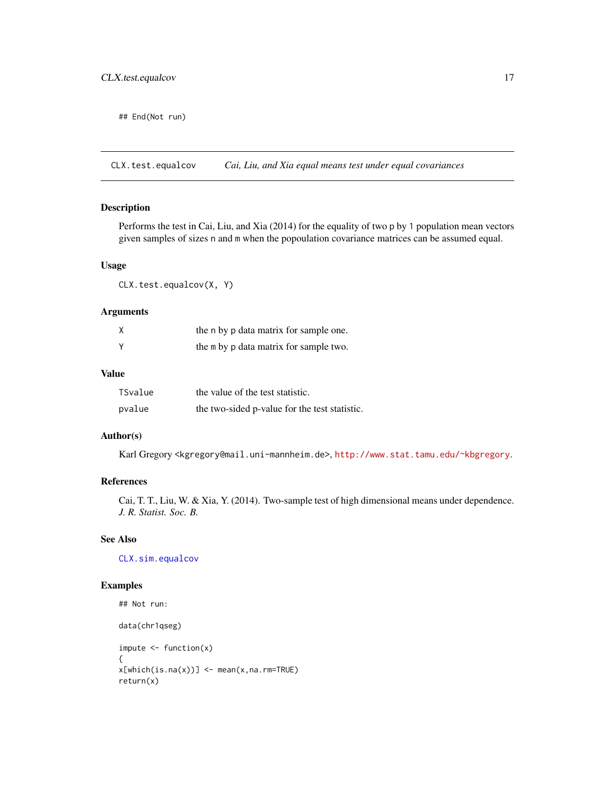<span id="page-16-0"></span>## End(Not run)

<span id="page-16-1"></span>CLX.test.equalcov *Cai, Liu, and Xia equal means test under equal covariances*

# Description

Performs the test in Cai, Liu, and Xia (2014) for the equality of two p by 1 population mean vectors given samples of sizes n and m when the popoulation covariance matrices can be assumed equal.

# Usage

CLX.test.equalcov(X, Y)

# Arguments

| X            | the n by p data matrix for sample one. |
|--------------|----------------------------------------|
| <sup>V</sup> | the m by p data matrix for sample two. |

#### Value

| TSvalue | the value of the test statistic.              |
|---------|-----------------------------------------------|
| pvalue  | the two-sided p-value for the test statistic. |

#### Author(s)

Karl Gregory <kgregory@mail.uni-mannheim.de>, <http://www.stat.tamu.edu/~kbgregory>.

# References

Cai, T. T., Liu, W. & Xia, Y. (2014). Two-sample test of high dimensional means under dependence. *J. R. Statist. Soc. B.*

# See Also

[CLX.sim.equalcov](#page-13-1)

```
## Not run:
data(chr1qseg)
impute < - function(x){
x[which(is.na(x))] < - mean(x,na.rm=TRUE)
return(x)
```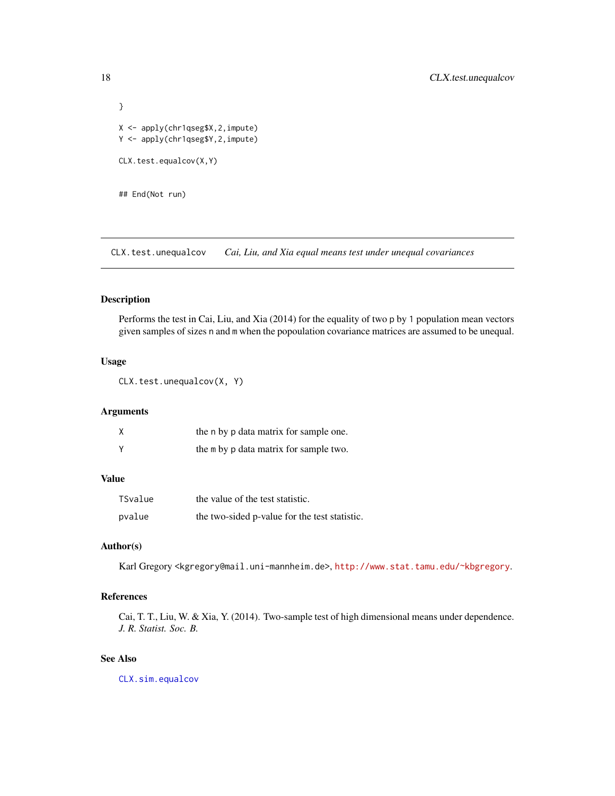```
}
X <- apply(chr1qseg$X,2,impute)
Y <- apply(chr1qseg$Y,2,impute)
CLX.test.equalcov(X,Y)
## End(Not run)
```
<span id="page-17-1"></span>CLX.test.unequalcov *Cai, Liu, and Xia equal means test under unequal covariances*

#### Description

Performs the test in Cai, Liu, and Xia (2014) for the equality of two p by 1 population mean vectors given samples of sizes n and m when the popoulation covariance matrices are assumed to be unequal.

# Usage

CLX.test.unequalcov(X, Y)

#### Arguments

| Χ | the n by p data matrix for sample one. |
|---|----------------------------------------|
| Y | the m by p data matrix for sample two. |

# Value

| TSvalue | the value of the test statistic.              |
|---------|-----------------------------------------------|
| pvalue  | the two-sided p-value for the test statistic. |

# Author(s)

Karl Gregory <kgregory@mail.uni-mannheim.de>, <http://www.stat.tamu.edu/~kbgregory>.

# References

Cai, T. T., Liu, W. & Xia, Y. (2014). Two-sample test of high dimensional means under dependence. *J. R. Statist. Soc. B.*

# See Also

[CLX.sim.equalcov](#page-13-1)

<span id="page-17-0"></span>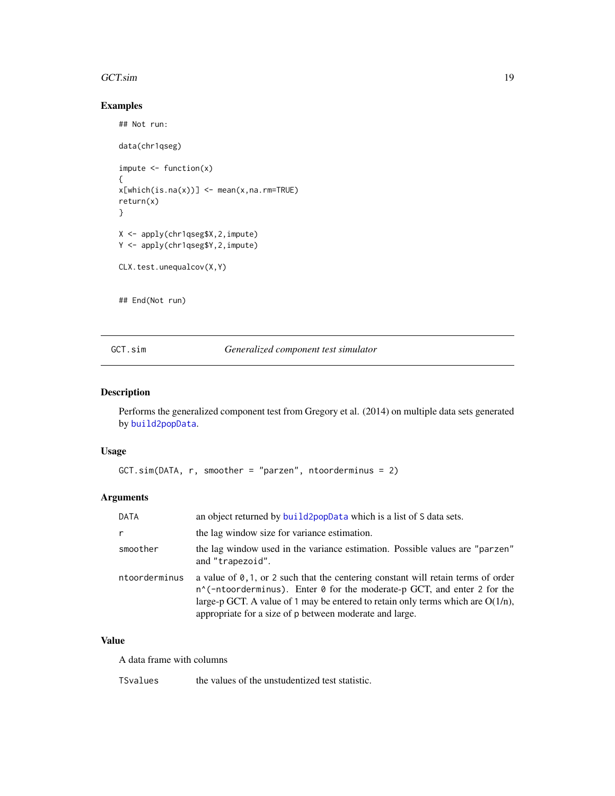#### <span id="page-18-0"></span>GCT.sim and the state of the state of the state of the state of the state of the state of the state of the state of the state of the state of the state of the state of the state of the state of the state of the state of th

# Examples

## Not run:

```
data(chr1qseg)
impute < - function(x){
x[which(is.na(x))] < - mean(x,na.rm=TRUE)return(x)
}
X <- apply(chr1qseg$X,2,impute)
Y <- apply(chr1qseg$Y,2,impute)
CLX.test.unequalcov(X,Y)
## End(Not run)
```
# <span id="page-18-1"></span>GCT.sim *Generalized component test simulator*

# Description

Performs the generalized component test from Gregory et al. (2014) on multiple data sets generated by [build2popData](#page-3-1).

#### Usage

```
GCT.sim(DATA, r, smoother = "parzen", ntoorderminus = 2)
```
# Arguments

| <b>DATA</b>   | an object returned by build2popData which is a list of S data sets.                                                                                                                                                                                                                                                                 |
|---------------|-------------------------------------------------------------------------------------------------------------------------------------------------------------------------------------------------------------------------------------------------------------------------------------------------------------------------------------|
| $\mathsf{r}$  | the lag window size for variance estimation.                                                                                                                                                                                                                                                                                        |
| smoother      | the lag window used in the variance estimation. Possible values are "parzen"<br>and "trapezoid".                                                                                                                                                                                                                                    |
| ntoorderminus | a value of $\emptyset$ , 1, or 2 such that the centering constant will retain terms of order<br>$n^{\prime}$ (-ntoorderminus). Enter 0 for the moderate-p GCT, and enter 2 for the<br>large-p GCT. A value of 1 may be entered to retain only terms which are $O(1/n)$ ,<br>appropriate for a size of p between moderate and large. |

# Value

A data frame with columns

TSvalues the values of the unstudentized test statistic.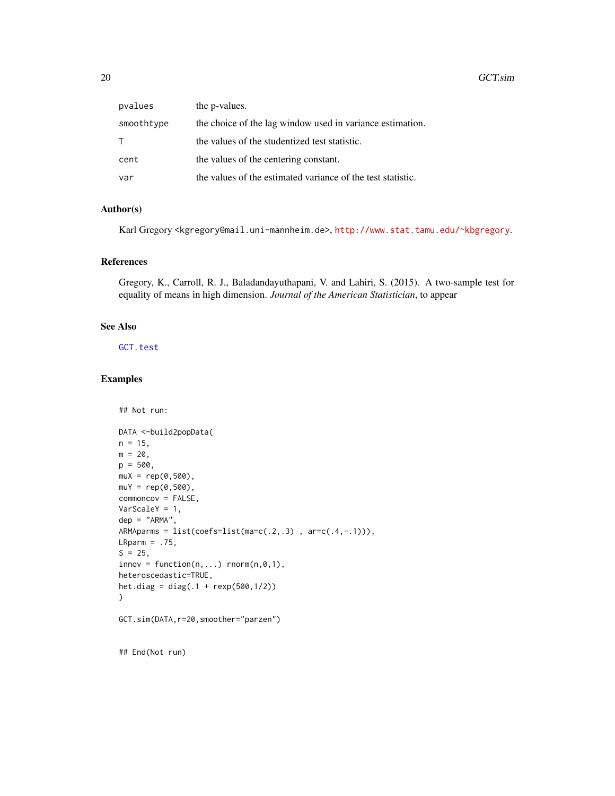<span id="page-19-0"></span>

| pvalues    | the <i>p</i> -values.                                       |
|------------|-------------------------------------------------------------|
| smoothtype | the choice of the lag window used in variance estimation.   |
| T.         | the values of the studentized test statistic.               |
| cent       | the values of the centering constant.                       |
| var        | the values of the estimated variance of the test statistic. |

# Author(s)

Karl Gregory <kgregory@mail.uni-mannheim.de>, <http://www.stat.tamu.edu/~kbgregory>.

# References

Gregory, K., Carroll, R. J., Baladandayuthapani, V. and Lahiri, S. (2015). A two-sample test for equality of means in high dimension. *Journal of the American Statistician*, to appear

# See Also

[GCT.test](#page-20-1)

## Not run:

#### Examples

```
DATA <-build2popData(
n = 15,
m = 20,
p = 500,muX = rep(0,500),
muY = rep(0,500),
commoncov = FALSE,
VarScaleY = 1,
dep = "ARMA",
ARMAparms = list(coeffs=list(ma=c(.2,.3)), ar=c(.4,-.1))),
LRparm = .75,S = 25,innov = function(n,...) rnorm(n,0,1),
heteroscedastic=TRUE,
het.diag = diag(.1 + rexp(500,1/2))
\mathcal{L}GCT.sim(DATA,r=20,smoother="parzen")
```
## End(Not run)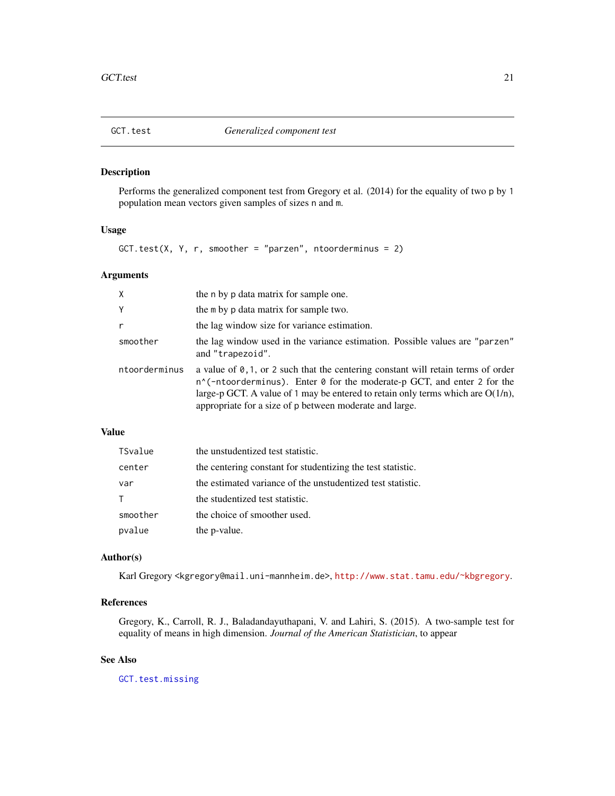<span id="page-20-1"></span><span id="page-20-0"></span>

# Description

Performs the generalized component test from Gregory et al. (2014) for the equality of two p by 1 population mean vectors given samples of sizes n and m.

#### Usage

GCT.test(X, Y, r, smoother = "parzen", ntoorderminus = 2)

# Arguments

| $\mathsf{X}$  | the n by p data matrix for sample one.                                                                                                                                                                                                                                                                                              |
|---------------|-------------------------------------------------------------------------------------------------------------------------------------------------------------------------------------------------------------------------------------------------------------------------------------------------------------------------------------|
| Y             | the m by p data matrix for sample two.                                                                                                                                                                                                                                                                                              |
| r             | the lag window size for variance estimation.                                                                                                                                                                                                                                                                                        |
| smoother      | the lag window used in the variance estimation. Possible values are "parzen"<br>and "trapezoid".                                                                                                                                                                                                                                    |
| ntoorderminus | a value of $\emptyset$ , 1, or 2 such that the centering constant will retain terms of order<br>$n^{\prime}$ (-ntoorderminus). Enter 0 for the moderate-p GCT, and enter 2 for the<br>large-p GCT. A value of 1 may be entered to retain only terms which are $O(1/n)$ ,<br>appropriate for a size of p between moderate and large. |

# Value

| TSvalue  | the unstudentized test statistic.                           |
|----------|-------------------------------------------------------------|
| center   | the centering constant for studentizing the test statistic. |
| var      | the estimated variance of the unstudentized test statistic. |
| T.       | the studentized test statistic.                             |
| smoother | the choice of smoother used.                                |
| pvalue   | the p-value.                                                |

# Author(s)

Karl Gregory <kgregory@mail.uni-mannheim.de>, <http://www.stat.tamu.edu/~kbgregory>.

# References

Gregory, K., Carroll, R. J., Baladandayuthapani, V. and Lahiri, S. (2015). A two-sample test for equality of means in high dimension. *Journal of the American Statistician*, to appear

#### See Also

[GCT.test.missing](#page-21-1)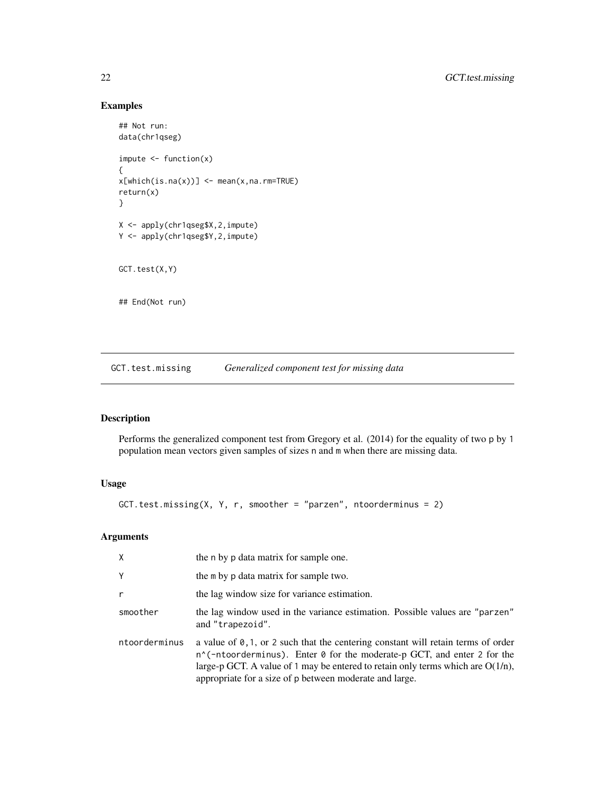# Examples

```
## Not run:
data(chr1qseg)
impute < - function(x){
x[which(is.na(x))] < - mean(x,na.rm=TRUE)
return(x)
}
X <- apply(chr1qseg$X,2,impute)
Y <- apply(chr1qseg$Y,2,impute)
GCT.test(X,Y)
## End(Not run)
```
<span id="page-21-1"></span>GCT.test.missing *Generalized component test for missing data*

# Description

Performs the generalized component test from Gregory et al. (2014) for the equality of two p by 1 population mean vectors given samples of sizes n and m when there are missing data.

# Usage

```
GCT.test.missing(X, Y, r, smoother = "parzen", ntoorderminus = 2)
```
# Arguments

| $\times$      | the n by p data matrix for sample one.                                                                                                                                                                                                                                                                                           |
|---------------|----------------------------------------------------------------------------------------------------------------------------------------------------------------------------------------------------------------------------------------------------------------------------------------------------------------------------------|
| Y             | the m by p data matrix for sample two.                                                                                                                                                                                                                                                                                           |
| $\mathsf{r}$  | the lag window size for variance estimation.                                                                                                                                                                                                                                                                                     |
| smoother      | the lag window used in the variance estimation. Possible values are "parzen"<br>and "trapezoid".                                                                                                                                                                                                                                 |
| ntoorderminus | a value of $\theta$ , 1, or 2 such that the centering constant will retain terms of order<br>$n^{\prime}$ (-ntoorderminus). Enter 0 for the moderate-p GCT, and enter 2 for the<br>large-p GCT. A value of 1 may be entered to retain only terms which are $O(1/n)$ ,<br>appropriate for a size of p between moderate and large. |

<span id="page-21-0"></span>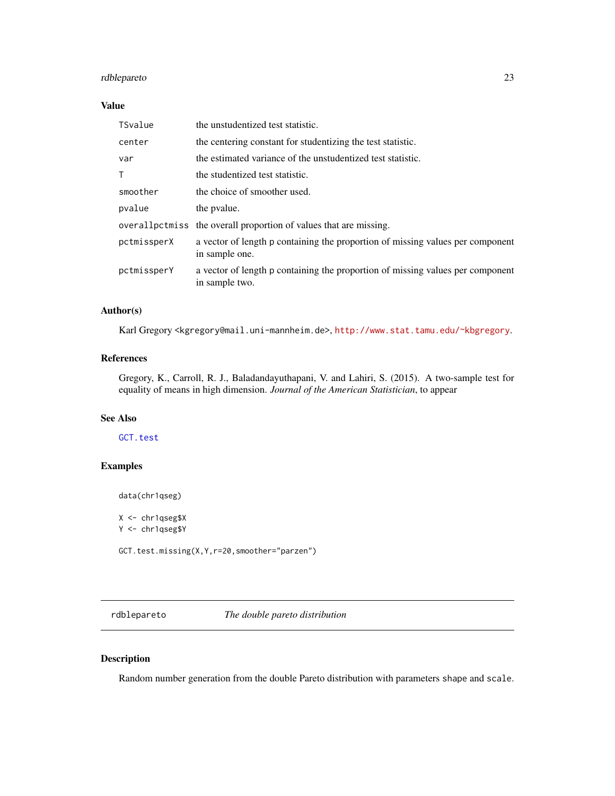# <span id="page-22-0"></span>rdblepareto 23

# Value

| TSvalue      | the unstudentized test statistic.                                                                |
|--------------|--------------------------------------------------------------------------------------------------|
| center       | the centering constant for studentizing the test statistic.                                      |
| var          | the estimated variance of the unstudentized test statistic.                                      |
| $\mathsf{T}$ | the studentized test statistic.                                                                  |
| smoother     | the choice of smoother used.                                                                     |
| pvalue       | the pyalue.                                                                                      |
|              | overall pctmiss the overall proportion of values that are missing.                               |
| pctmissperX  | a vector of length p containing the proportion of missing values per component<br>in sample one. |
| pctmissperY  | a vector of length p containing the proportion of missing values per component<br>in sample two. |

# Author(s)

Karl Gregory <kgregory@mail.uni-mannheim.de>, <http://www.stat.tamu.edu/~kbgregory>.

# References

Gregory, K., Carroll, R. J., Baladandayuthapani, V. and Lahiri, S. (2015). A two-sample test for equality of means in high dimension. *Journal of the American Statistician*, to appear

# See Also

[GCT.test](#page-20-1)

# Examples

data(chr1qseg)

X <- chr1qseg\$X Y <- chr1qseg\$Y GCT.test.missing(X,Y,r=20,smoother="parzen")

<span id="page-22-1"></span>rdblepareto *The double pareto distribution*

# Description

Random number generation from the double Pareto distribution with parameters shape and scale.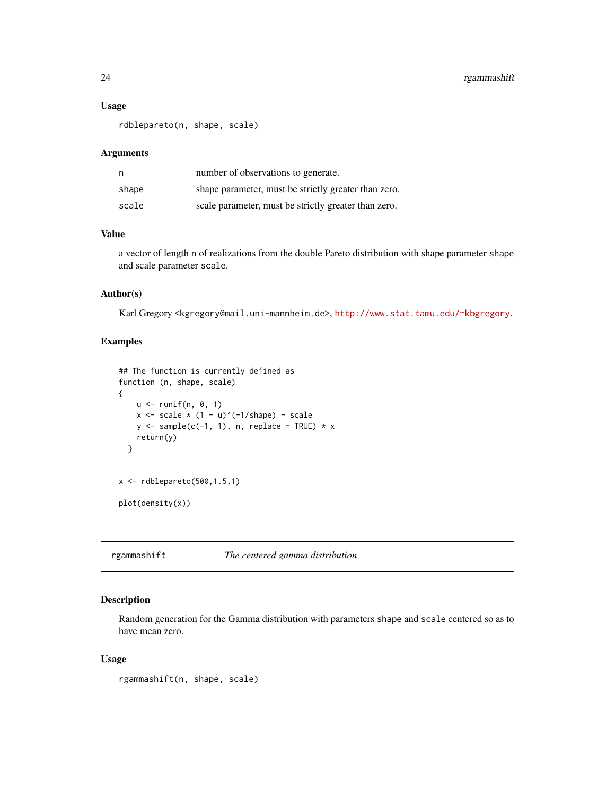#### Usage

rdblepareto(n, shape, scale)

#### Arguments

| n     | number of observations to generate.                  |
|-------|------------------------------------------------------|
| shape | shape parameter, must be strictly greater than zero. |
| scale | scale parameter, must be strictly greater than zero. |

# Value

a vector of length n of realizations from the double Pareto distribution with shape parameter shape and scale parameter scale.

# Author(s)

Karl Gregory <kgregory@mail.uni-mannheim.de>, <http://www.stat.tamu.edu/~kbgregory>.

#### Examples

```
## The function is currently defined as
function (n, shape, scale)
{
    u \leftarrow runif(n, 0, 1)x \leftarrow \text{scale} * (1 - u)^(-1/\text{shape}) - \text{scale}y \leq - sample(c(-1, 1), n, replace = TRUE) * x
    return(y)
  }
x \leftarrow rdblepareto(500,1.5,1)
plot(density(x))
```
<span id="page-23-1"></span>rgammashift *The centered gamma distribution*

# Description

Random generation for the Gamma distribution with parameters shape and scale centered so as to have mean zero.

# Usage

```
rgammashift(n, shape, scale)
```
<span id="page-23-0"></span>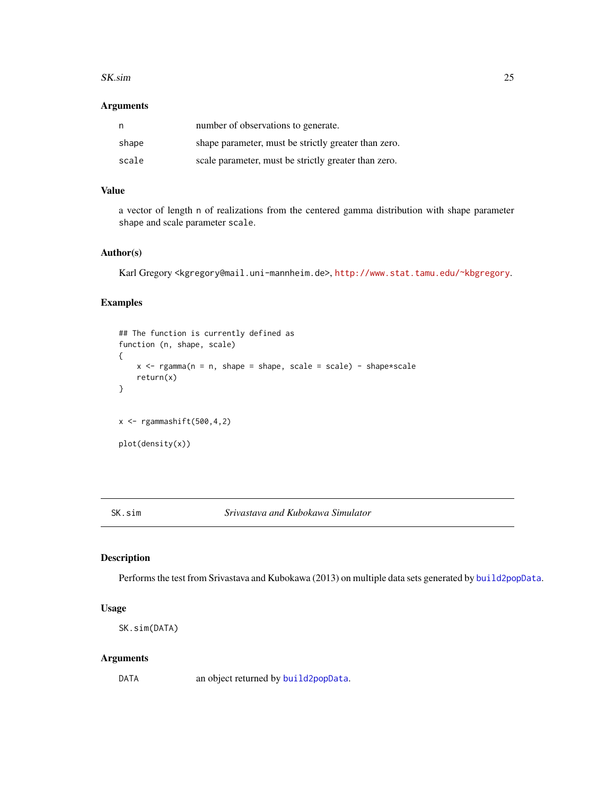#### <span id="page-24-0"></span>SK.sim 25

# Arguments

| n     | number of observations to generate.                  |
|-------|------------------------------------------------------|
| shape | shape parameter, must be strictly greater than zero. |
| scale | scale parameter, must be strictly greater than zero. |

# Value

a vector of length n of realizations from the centered gamma distribution with shape parameter shape and scale parameter scale.

# Author(s)

Karl Gregory <kgregory@mail.uni-mannheim.de>, <http://www.stat.tamu.edu/~kbgregory>.

### Examples

```
## The function is currently defined as
function (n, shape, scale)
{
     x \leq - \text{rgamma}(n = n, \text{ shape} = \text{shape}, \text{scale} = \text{scale}) - \text{shape}*\text{scale}return(x)
}
x \leftarrow rgammashift(500,4,2)
plot(density(x))
```
<span id="page-24-1"></span>SK.sim *Srivastava and Kubokawa Simulator*

# Description

Performs the test from Srivastava and Kubokawa (2013) on multiple data sets generated by [build2popData](#page-3-1).

# Usage

SK.sim(DATA)

#### Arguments

DATA an object returned by [build2popData](#page-3-1).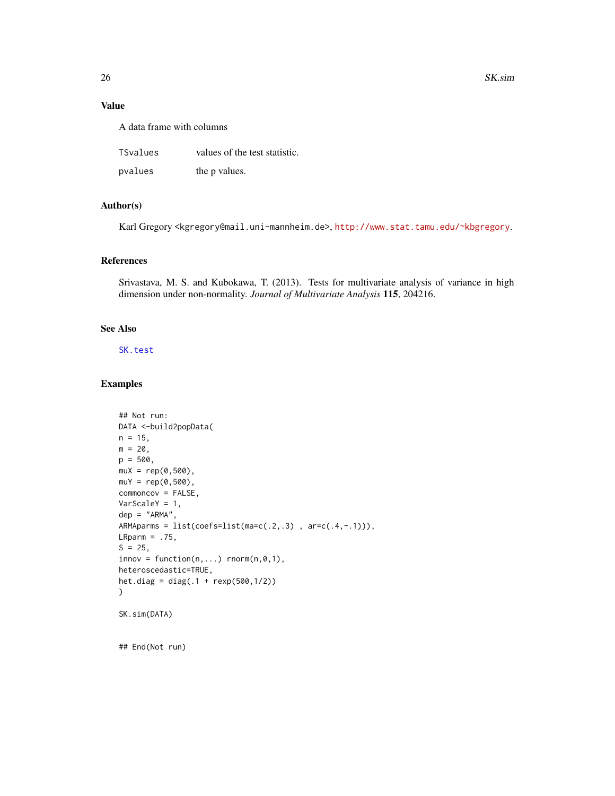#### Value

A data frame with columns

| TSvalues | values of the test statistic. |
|----------|-------------------------------|
| pvalues  | the p values.                 |

# Author(s)

Karl Gregory <kgregory@mail.uni-mannheim.de>, <http://www.stat.tamu.edu/~kbgregory>.

# References

Srivastava, M. S. and Kubokawa, T. (2013). Tests for multivariate analysis of variance in high dimension under non-normality. *Journal of Multivariate Analysis* 115, 204216.

# See Also

[SK.test](#page-26-1)

#### Examples

```
## Not run:
DATA <-build2popData(
n = 15,
m = 20,
p = 500,muX = rep(0,500),
muY = rep(0,500),
commoncov = FALSE,
VarScaleY = 1,
dep = "ARMA",
ARMAparms = list(coefs=list(ma=c(.2,.3) , ar=c(.4,-.1))),
LRparm = .75,S = 25,innov = function(n,...) rnorm(n,0,1),
heteroscedastic=TRUE,
het.diag = diag(.1 + rexp(500,1/2))
\mathcal{L}SK.sim(DATA)
```
## End(Not run)

<span id="page-25-0"></span>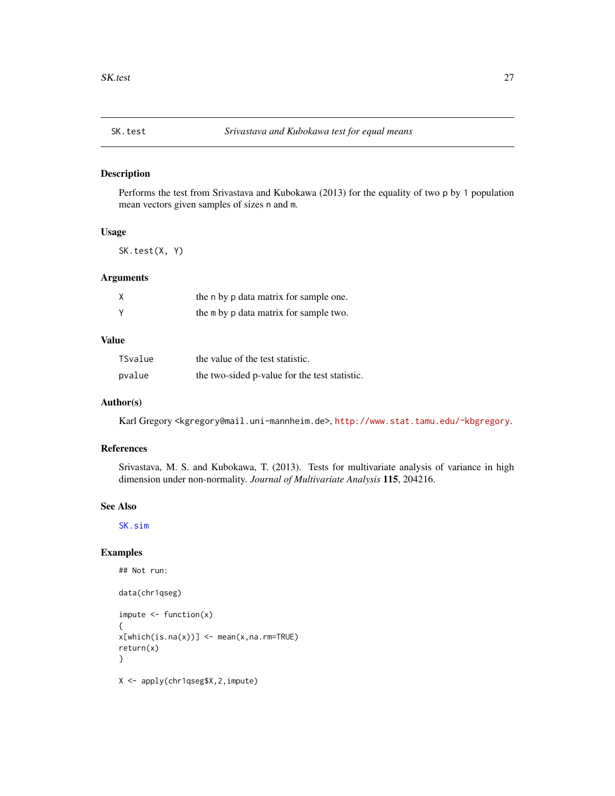<span id="page-26-1"></span><span id="page-26-0"></span>

# Description

Performs the test from Srivastava and Kubokawa (2013) for the equality of two p by 1 population mean vectors given samples of sizes n and m.

# Usage

SK.test(X, Y)

#### Arguments

| χ | the n by p data matrix for sample one. |
|---|----------------------------------------|
| Υ | the m by p data matrix for sample two. |

#### Value

| TSvalue | the value of the test statistic.              |
|---------|-----------------------------------------------|
| pvalue  | the two-sided p-value for the test statistic. |

### Author(s)

Karl Gregory <kgregory@mail.uni-mannheim.de>, <http://www.stat.tamu.edu/~kbgregory>.

# References

Srivastava, M. S. and Kubokawa, T. (2013). Tests for multivariate analysis of variance in high dimension under non-normality. *Journal of Multivariate Analysis* 115, 204216.

# See Also

[SK.sim](#page-24-1)

```
## Not run:
data(chr1qseg)
impute < - function(x){
x[which(is.na(x))] <- mean(x,na.rm=TRUE)
return(x)
}
X <- apply(chr1qseg$X,2,impute)
```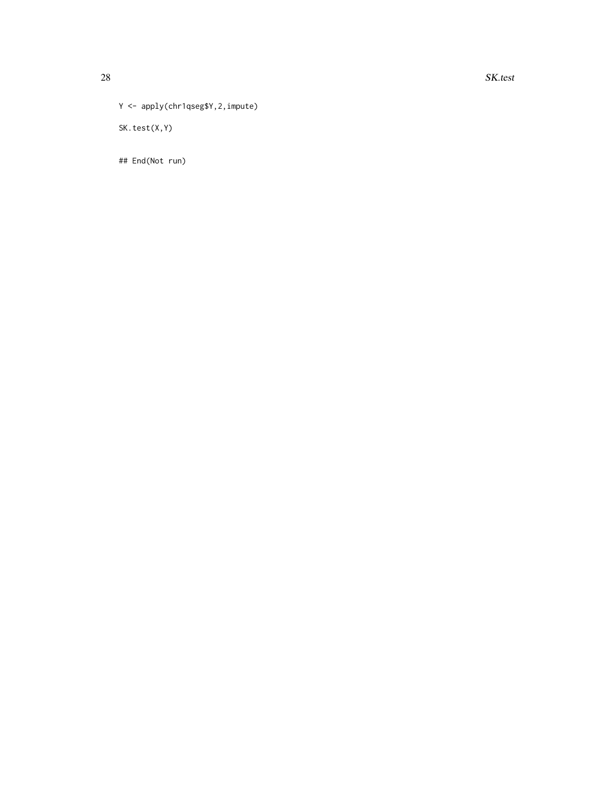Y <- apply(chr1qseg\$Y,2,impute)

SK.test(X,Y)

## End(Not run)